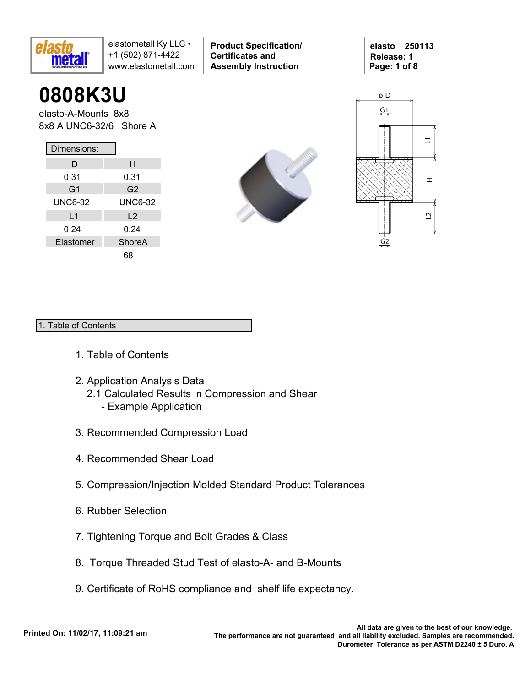

**0808K3U**

elasto-A-Mounts 8x8 8x8 A UNC6-32/6 Shore A

| Dimensions:    |                |  |  |  |  |  |  |  |  |
|----------------|----------------|--|--|--|--|--|--|--|--|
| D              | н              |  |  |  |  |  |  |  |  |
| 0.31           | 0.31           |  |  |  |  |  |  |  |  |
| G <sub>1</sub> | G2             |  |  |  |  |  |  |  |  |
| <b>UNC6-32</b> | <b>UNC6-32</b> |  |  |  |  |  |  |  |  |
| L <sub>1</sub> | $\mathsf{L}2$  |  |  |  |  |  |  |  |  |
| 0.24           | 0.24           |  |  |  |  |  |  |  |  |
| Elastomer      | ShoreA         |  |  |  |  |  |  |  |  |
|                |                |  |  |  |  |  |  |  |  |



**Product Specification/** 

**Certificates and Assembly Instruction**

**elasto 250113 Release: 1 Page: 1 of 8**



#### 1. Table of Contents

- 1. Table of Contents
- 2. Application Analysis Data
	- 2.1 Calculated Results in Compression and Shear
		- Example Application
- 3. Recommended Compression Load
- 4. Recommended Shear Load
- 5. Compression/Injection Molded Standard Product Tolerances
- 6. Rubber Selection
- 7. Tightening Torque and Bolt Grades & Class
- 8. Torque Threaded Stud Test of elasto-A- and B-Mounts
- 9. Certificate of RoHS compliance and shelf life expectancy.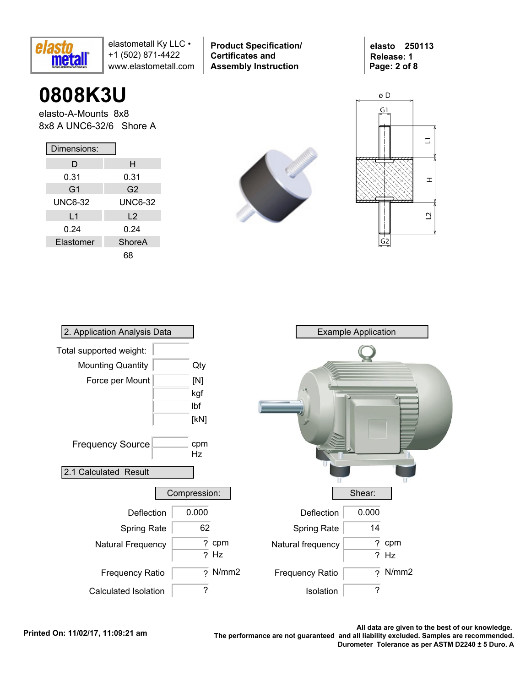

**Product Specification/ Certificates and Assembly Instruction**

**elasto 250113 Release: 1 Page: 2 of 8**

# **0808K3U**

elasto-A-Mounts 8x8 8x8 A UNC6-32/6 Shore A

| Dimensions:    |                |  |  |  |  |  |  |  |  |
|----------------|----------------|--|--|--|--|--|--|--|--|
| D              | н              |  |  |  |  |  |  |  |  |
| 0.31           | 0.31           |  |  |  |  |  |  |  |  |
| G <sub>1</sub> | G <sub>2</sub> |  |  |  |  |  |  |  |  |
| <b>UNC6-32</b> | <b>UNC6-32</b> |  |  |  |  |  |  |  |  |
| L <sub>1</sub> | $\mathsf{L}2$  |  |  |  |  |  |  |  |  |
| 0.24           | 0.24           |  |  |  |  |  |  |  |  |
| Elastomer      | ShoreA         |  |  |  |  |  |  |  |  |
|                |                |  |  |  |  |  |  |  |  |





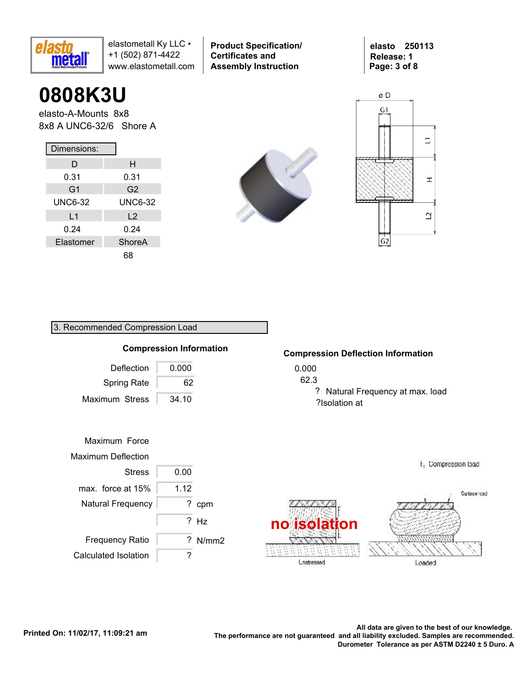

**0808K3U**

elasto-A-Mounts 8x8 8x8 A UNC6-32/6 Shore A

| Dimensions:    |                |  |  |  |  |  |  |  |  |
|----------------|----------------|--|--|--|--|--|--|--|--|
| D              | н              |  |  |  |  |  |  |  |  |
| 0.31           | 0.31           |  |  |  |  |  |  |  |  |
| G <sub>1</sub> | G2             |  |  |  |  |  |  |  |  |
| <b>UNC6-32</b> | <b>UNC6-32</b> |  |  |  |  |  |  |  |  |
| L <sub>1</sub> | L <sub>2</sub> |  |  |  |  |  |  |  |  |
| 0.24           | 0.24           |  |  |  |  |  |  |  |  |
| Elastomer      | ShoreA         |  |  |  |  |  |  |  |  |
|                |                |  |  |  |  |  |  |  |  |

3. Recommended Compression Load



**Product Specification/** 

**Certificates and Assembly Instruction**





### 0.000 62.3 Deflection Maximum Stress 34.10 0.000 Maximum Force Maximum Deflection Stress 0.00 ? cpm **Compression Information** Natural Frequency ? Hz max. force at  $15\%$  | 1.12 Spring Rate 62

? N/mm2

#### **Compression Deflection Information**

? Natural Frequency at max. load ?Isolation at



Frequency Ratio

Calculated Isolation | ?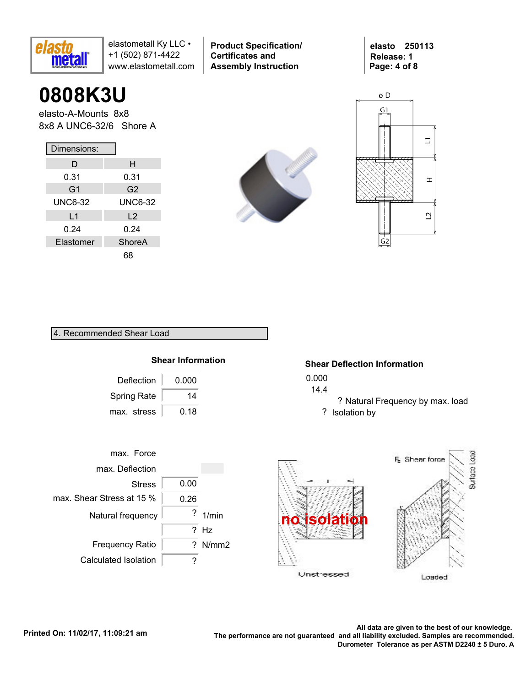

**0808K3U**

elasto-A-Mounts 8x8 8x8 A UNC6-32/6 Shore A

| Dimensions:    |                |  |  |  |  |  |  |  |  |  |
|----------------|----------------|--|--|--|--|--|--|--|--|--|
| D              | н              |  |  |  |  |  |  |  |  |  |
| 0.31           | 0.31           |  |  |  |  |  |  |  |  |  |
| G <sub>1</sub> | G2             |  |  |  |  |  |  |  |  |  |
| <b>UNC6-32</b> | <b>UNC6-32</b> |  |  |  |  |  |  |  |  |  |
| L <sub>1</sub> | L <sub>2</sub> |  |  |  |  |  |  |  |  |  |
| 0.24           | 0.24           |  |  |  |  |  |  |  |  |  |
| Elastomer      | ShoreA         |  |  |  |  |  |  |  |  |  |
|                |                |  |  |  |  |  |  |  |  |  |



**Product Specification/** 

**Certificates and Assembly Instruction**

**elasto 250113 Release: 1 Page: 4 of 8**



| 4. Recommended Shear Load |  |
|---------------------------|--|
|                           |  |



| Deflection         | 0.000 |
|--------------------|-------|
| <b>Spring Rate</b> | 14    |
| max. stress        | 0.18  |

#### **Shear Deflection Information**

- 0.000
- 14.4
	- ? Natural Frequency by max. load ? Isolation by



Loaded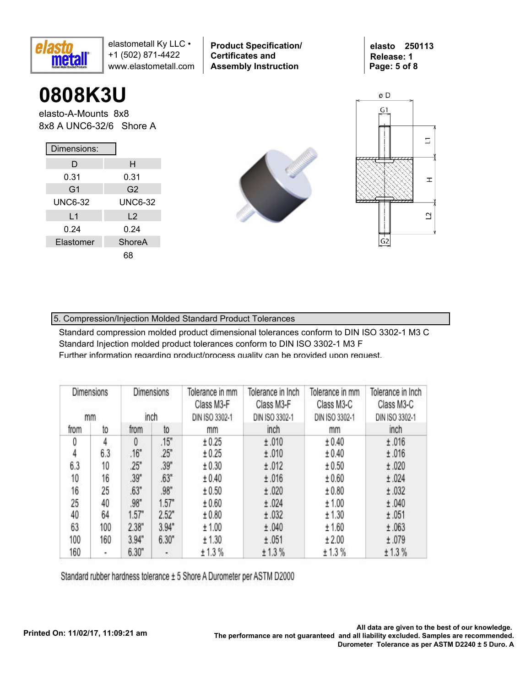

**0808K3U**

elasto-A-Mounts 8x8 8x8 A UNC6-32/6 Shore A

| Dimensions:    |                |  |  |  |  |  |  |  |  |  |
|----------------|----------------|--|--|--|--|--|--|--|--|--|
| D              | н              |  |  |  |  |  |  |  |  |  |
| 0.31           | 0.31           |  |  |  |  |  |  |  |  |  |
| G <sub>1</sub> | G <sub>2</sub> |  |  |  |  |  |  |  |  |  |
| <b>UNC6-32</b> | <b>UNC6-32</b> |  |  |  |  |  |  |  |  |  |
| L <sub>1</sub> | L <sub>2</sub> |  |  |  |  |  |  |  |  |  |
| 0.24           | 0.24           |  |  |  |  |  |  |  |  |  |
| Elastomer      | ShoreA         |  |  |  |  |  |  |  |  |  |
|                |                |  |  |  |  |  |  |  |  |  |



**Product Specification/** 

**Certificates and Assembly Instruction**



**elasto 250113 Release: 1**

**Page: 5 of 8**

### 5. Compression/Injection Molded Standard Product Tolerances

Standard compression molded product dimensional tolerances conform to DIN ISO 3302-1 M3 C Standard Injection molded product tolerances conform to DIN ISO 3302-1 M3 F Further information regarding product/process quality can be provided upon request.

| Dimensions<br>mm |     |       | <b>Dimensions</b><br>inch | Tolerance in mm<br>Class M3-F<br>DIN ISO 3302-1 | Tolerance in Inch<br>Class M3-F<br>DIN ISO 3302-1 | Tolerance in mm<br>Class M3-C<br>DIN ISO 3302-1 | Tolerance in Inch<br>Class M3-C<br>DIN ISO 3302-1 |
|------------------|-----|-------|---------------------------|-------------------------------------------------|---------------------------------------------------|-------------------------------------------------|---------------------------------------------------|
| from             | to  | from  | to                        | mm                                              | inch                                              | mm                                              | inch                                              |
| 0                | 4   | 0     | .15"                      | ± 0.25                                          | ±.010                                             | ± 0.40                                          | ±.016                                             |
| 4                | 6.3 | .16"  | 25"                       | ± 0.25                                          | ±.010                                             | ± 0.40                                          | ±.016                                             |
| 6.3              | 10  | .25"  | .39"                      | ± 0.30                                          | ±.012                                             | ± 0.50                                          | ±.020                                             |
| 10               | 16  | .39"  | .63"                      | ± 0.40                                          | ±.016                                             | ± 0.60                                          | ±.024                                             |
| 16               | 25  | .63"  | .98"                      | ± 0.50                                          | ±.020                                             | ± 0.80                                          | ±.032                                             |
| 25               | 40  | .98"  | 1.57"                     | ± 0.60                                          | ±.024                                             | ± 1.00                                          | ±.040                                             |
| 40               | 64  | 1.57" | 2.52"                     | ± 0.80                                          | ±.032                                             | ± 1.30                                          | ±.051                                             |
| 63               | 100 | 2.38" | 3.94"                     | ± 1.00                                          | ±.040                                             | ± 1.60                                          | ±.063                                             |
| 100              | 160 | 3.94" | 6.30"                     | ± 1.30                                          | ±.051                                             | ± 2.00                                          | ±.079                                             |
| 160              | ۰   | 6.30" | ٠                         | ± 1.3%                                          | ± 1.3%                                            | ± 1.3%                                          | ± 1.3%                                            |

Standard rubber hardness tolerance ± 5 Shore A Durometer per ASTM D2000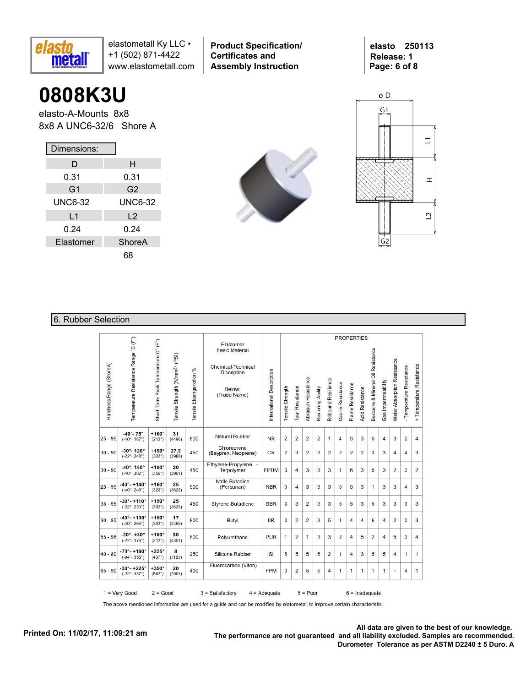

**Product Specification/ Certificates and Assembly Instruction**

**elasto 250113 Release: 1 Page: 6 of 8**

## **0808K3U**

elasto-A-Mounts 8x8 8x8 A UNC6-32/6 Shore A

| Dimensions:    |                |
|----------------|----------------|
| D              | н              |
| 0.31           | 0.31           |
| G <sub>1</sub> | G <sub>2</sub> |
| <b>UNC6-32</b> | <b>UNC6-32</b> |
| L1             | L <sub>2</sub> |
| 0.24           | 0.24           |
| Elastomer      | ShoreA         |
|                | 68             |





### 6. Rubber Selection

|                         |                                                               |                                     |                                            |                             |                                                                                                          |                           |                  |                 |                            |                   |                    | <b>PROPERTIES</b> |                  |                        |                                  |                    |                             |                          |                          |
|-------------------------|---------------------------------------------------------------|-------------------------------------|--------------------------------------------|-----------------------------|----------------------------------------------------------------------------------------------------------|---------------------------|------------------|-----------------|----------------------------|-------------------|--------------------|-------------------|------------------|------------------------|----------------------------------|--------------------|-----------------------------|--------------------------|--------------------------|
| Hardness Range (ShoreA) | Temperature Resistance Range 'C (F")                          | Short Term Peak Temperature C° (F°) | Tensile Strength (N/mm <sup>2)</sup> (PSI) | %<br>Tensile Eloangariotion | Elastomer<br><b>Basic Material</b><br>Chemical-Technical<br><b>Discription</b><br>Below:<br>(Trade Name) | International Description | Tensile Strength | Tear Resistance | <b>Abrasion Resistance</b> | Restoring Ability | Rebound Resilience | Ozone Resistance  | Flame Resistance | <b>Acid Resistance</b> | Benzene & Mineral Oil Resistance | Gas Impermeability | Water Absorption Resistance | - Temperature Resistance | + Temperature Resistance |
| $25 - 95$               | $-40^{\circ} - 75^{\circ}$<br>$(-40^{\circ} - 167^{\circ})$   | $+100^\circ$<br>(212°)              | 31<br>(4496)                               | 800                         | Natural Rubber                                                                                           | <b>NR</b>                 | $\overline{2}$   | 2               | $\overline{2}$             | $\overline{2}$    | 1                  | $\overline{4}$    | 5                | 3                      | 5                                | $\overline{4}$     | 3                           | $\overline{2}$           | $\overline{4}$           |
| $30 - 90$               | $-30^\circ - 120^\circ$<br>$(-22^{\circ} - 248^{\circ})$      | $+150^\circ$<br>$(302^{\circ})$     | 27.5<br>(3988)                             | 450                         | Chloroprene<br>(Baypren, Neoprene)                                                                       | CR                        | $\overline{2}$   | 3               | 2                          | 3                 | 2                  | 2                 | 2                | $\overline{2}$         | 3                                | 3                  | $\overline{4}$              | 4                        | 3                        |
| $30 - 90$               | $-40^{\circ} - 150^{\circ}$<br>$(-40^{\circ} - 302^{\circ})$  | $+180^\circ$<br>(356°)              | 20<br>(2901)                               | 450                         | Ethylene-Propylene -<br>Terpolymer                                                                       | EPDM                      | 3                | 4               | 3                          | 3                 | 3                  | 1                 | 6                | 3                      | 5                                | 3                  | $\overline{2}$              | 3                        | $\overline{2}$           |
| $25 - 95$               | $-40^{\circ} - +140^{\circ}$<br>$(-40° - 248°)$               | $+160^\circ$<br>(320°)              | 25<br>(3626)                               | 500                         | Ntrile Butadine<br>(Perbunan)                                                                            | <b>NBR</b>                | 3                | 4               | 3                          | 3                 | 3                  | 5                 | 5                | 3                      | 1                                | 3                  | 3                           | $\overline{4}$           | 3                        |
| $35 - 95$               | $-30^\circ - +110^\circ$<br>$(-22^{\circ} - 230^{\circ})$     | $+150^\circ$<br>$(302^{\circ})$     | 25<br>(3626)                               | 450                         | Styrene-Butadiene                                                                                        | <b>SBR</b>                | 3                | 3               | $\overline{2}$             | 3                 | 3                  | 5                 | 5                | 3                      | 5                                | 3                  | 3                           | 3                        | 3                        |
| $30 - 85$               | $-40^{\circ} - +130^{\circ}$<br>$(-40^\circ - 266^\circ)$     | $+150^\circ$<br>$(302^{\circ})$     | 17<br>(2466)                               | 800                         | Butyl                                                                                                    | <b>IIR</b>                | 3                | 2               | $\overline{2}$             | 3                 | 5                  | 1                 | 4                | 4                      | 6                                | $\overline{4}$     | $\overline{2}$              | 2                        | 3                        |
| $55 - 98$               | $-30^{\circ} - +80^{\circ}$<br>$(-22^{\circ} - 176^{\circ})$  | $+100^\circ$<br>$(212^{\circ})$     | 30<br>(4351)                               | 800                         | Polyurethane                                                                                             | <b>PUR</b>                | 1                | 2               | $\mathbf{1}$               | 3                 | 3                  | $\overline{2}$    | $\overline{4}$   | 5                      | 2                                | 4                  | 5                           | 3                        | 4                        |
| $40 - 80$               | $-70^{\circ} - +180^{\circ}$<br>$(-94° - 356°)$               | $+225^\circ$<br>(437°)              | 8<br>(1160)                                | 250                         | Silicone Rubber                                                                                          | SI                        | 5                | 5               | 5                          | 5                 | 2                  | 1                 | 4                | 3                      | 5                                | 5                  | 4                           | 1                        | 1                        |
| $65 - 90$               | $-30^{\circ} - +225^{\circ}$<br>$(-22^{\circ} - 437^{\circ})$ | $+350^\circ$<br>(662°)              | 20<br>(2901)                               | 400                         | Fluorocarbon (Viton)                                                                                     | <b>FPM</b>                | 3                | 2               | 5                          | 5                 | 4                  | 1                 | 1                | 1                      | 1                                | 1                  | ۷                           | 4                        | 1                        |

The above mentioned information are used for a guide and can be modified by elatometall to improve certain characteristis.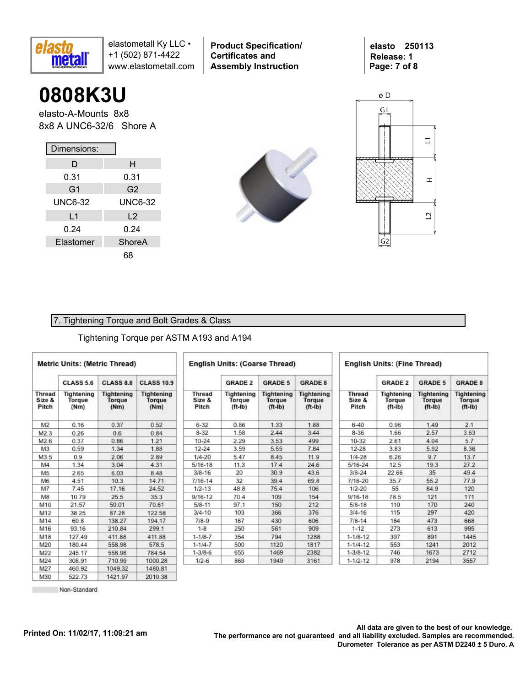

**0808K3U**

elasto-A-Mounts 8x8 8x8 A UNC6-32/6 Shore A

| Dimensions:    |                |
|----------------|----------------|
| D              | н              |
| 0.31           | 0.31           |
| G <sub>1</sub> | G2             |
| <b>UNC6-32</b> | <b>UNC6-32</b> |
| L1             | $\mathsf{L}2$  |
| 0.24           | 0.24           |
| Elastomer      | ShoreA         |
|                | 68             |



**Product Specification/** 

**Certificates and Assembly Instruction**



 $\overline{G}2$ 

**elasto 250113 Release: 1**

**Page: 7 of 8**

#### 7. Tightening Torque and Bolt Grades & Class

#### Tightening Torque per ASTM A193 and A194

|                                  | <b>Metric Units: (Metric Thread)</b> |                                     |                                     |                                  | <b>English Units: (Coarse Thread)</b> |                                          |                                          |                                  | <b>English Units: (Fine Thread)</b> |                                          |                                          |
|----------------------------------|--------------------------------------|-------------------------------------|-------------------------------------|----------------------------------|---------------------------------------|------------------------------------------|------------------------------------------|----------------------------------|-------------------------------------|------------------------------------------|------------------------------------------|
|                                  | <b>CLASS 5.6</b>                     | <b>CLASS 8.8</b>                    | <b>CLASS 10.9</b>                   |                                  | <b>GRADE 2</b>                        | <b>GRADE 5</b>                           | <b>GRADE 8</b>                           |                                  | <b>GRADE 2</b>                      | <b>GRADE 5</b>                           | <b>GRADE 8</b>                           |
| <b>Thread</b><br>Size &<br>Pitch | Tightening<br>Torque<br>(Nm)         | <b>Tightening</b><br>Torque<br>(Nm) | <b>Tightening</b><br>Torque<br>(Nm) | <b>Thread</b><br>Size &<br>Pitch | Tightening<br>Torque<br>$(ft-lb)$     | <b>Tightening</b><br>Torque<br>$(ft-lb)$ | <b>Tightening</b><br>Torque<br>$(ft-lb)$ | <b>Thread</b><br>Size &<br>Pitch | Tightening<br>Torque<br>$(ft-lb)$   | <b>Tightening</b><br>Torque<br>$(ft-lb)$ | <b>Tightening</b><br>Torque<br>$(ft-lb)$ |
| M <sub>2</sub>                   | 0.16                                 | 0.37                                | 0.52                                | $6 - 32$                         | 0.86                                  | 1.33                                     | 1.88                                     | $6 - 40$                         | 0.96                                | 1.49                                     | 2.1                                      |
| M2.3                             | 0.26                                 | 0.6                                 | 0.84                                | $8 - 32$                         | 1.58                                  | 2.44                                     | 3.44                                     | $8 - 36$                         | 1.66                                | 2.57                                     | 3.63                                     |
| M2.6                             | 0.37                                 | 0.86                                | 1.21                                | $10 - 24$                        | 2.29                                  | 3.53                                     | 499                                      | 10-32                            | 2.61                                | 4.04                                     | 5.7                                      |
| M <sub>3</sub>                   | 0.59                                 | 1.34                                | 1.88                                | $12 - 24$                        | 3.59                                  | 5.55                                     | 7.84                                     | $12 - 28$                        | 3.83                                | 5.92                                     | 8.36                                     |
| M3.5                             | 0.9                                  | 2.06                                | 2.89                                | $1/4 - 20$                       | 5.47                                  | 8.45                                     | 11.9                                     | $1/4 - 28$                       | 6.26                                | 9.7                                      | 13.7                                     |
| M4                               | 1.34                                 | 3.04                                | 4.31                                | $5/16 - 18$                      | 11.3                                  | 17.4                                     | 24.6                                     | 5/16-24                          | 12.5                                | 19.3                                     | 27.2                                     |
| M <sub>5</sub>                   | 2.65                                 | 6.03                                | 8.48                                | $3/8 - 16$                       | 20                                    | 30.9                                     | 43.6                                     | $3/8 - 24$                       | 22.66                               | 35                                       | 49.4                                     |
| M6                               | 4.51                                 | 10.3                                | 14.71                               | $7/16 - 14$                      | 32                                    | 39.4                                     | 69.8                                     | 7/16-20                          | 35.7                                | 55.2                                     | 77.9                                     |
| M7                               | 7.45                                 | 17.16                               | 24.52                               | $1/2 - 13$                       | 48.8                                  | 75.4                                     | 106                                      | $1/2 - 20$                       | 55                                  | 84.9                                     | 120                                      |
| M8                               | 10.79                                | 25.5                                | 35.3                                | $9/16 - 12$                      | 70.4                                  | 109                                      | 154                                      | $9/16 - 18$                      | 78.5                                | 121                                      | 171                                      |
| M10                              | 21.57                                | 50.01                               | 70.61                               | $5/8 - 11$                       | 97.1                                  | 150                                      | 212                                      | $5/8 - 18$                       | 110                                 | 170                                      | 240                                      |
| M12                              | 38.25                                | 87.28                               | 122.58                              | $3/4 - 10$                       | 103                                   | 366                                      | 376                                      | $3/4 - 16$                       | 115                                 | 297                                      | 420                                      |
| M14                              | 60.8                                 | 138.27                              | 194.17                              | $7/8-9$                          | 167                                   | 430                                      | 606                                      | $7/8 - 14$                       | 184                                 | 473                                      | 668                                      |
| M16                              | 93.16                                | 210.84                              | 299.1                               | $1 - 8$                          | 250                                   | 561                                      | 909                                      | $1 - 12$                         | 273                                 | 613                                      | 995                                      |
| M18                              | 127.49                               | 411.88                              | 411.88                              | $1 - 1/8 - 7$                    | 354                                   | 794                                      | 1288                                     | $1 - 1/8 - 12$                   | 397                                 | 891                                      | 1445                                     |
| M20                              | 180.44                               | 558.98                              | 578.5                               | $1 - 1/4 - 7$                    | 500                                   | 1120                                     | 1817                                     | $1 - 1/4 - 12$                   | 553                                 | 1241                                     | 2012                                     |
| M22                              | 245.17                               | 558.98                              | 784.54                              | $1 - 3/8 - 6$                    | 655                                   | 1469                                     | 2382                                     | $1 - 3/8 - 12$                   | 746                                 | 1673                                     | 2712                                     |
| M24                              | 308.91                               | 710.99                              | 1000.28                             | $1/2 - 6$                        | 869                                   | 1949                                     | 3161                                     | $1 - 1/2 - 12$                   | 978                                 | 2194                                     | 3557                                     |
| M27                              | 460.92                               | 104932                              | 1480.81                             |                                  |                                       |                                          |                                          |                                  |                                     |                                          |                                          |

522.73 Non-Standard 1421.97

2010.38

M30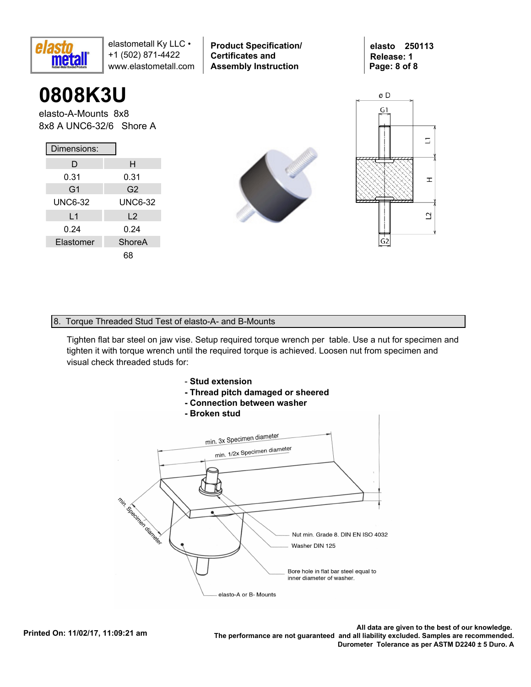

## **0808K3U**

elasto-A-Mounts 8x8 8x8 A UNC6-32/6 Shore A

| Dimensions:    |                |
|----------------|----------------|
| D              | н              |
| 0.31           | 0.31           |
| G <sub>1</sub> | G <sub>2</sub> |
| <b>UNC6-32</b> | <b>UNC6-32</b> |
| L <sub>1</sub> | L <sub>2</sub> |
| 0.24           | 0.24           |
| Elastomer      | ShoreA         |
|                |                |



**Product Specification/** 

**Certificates and Assembly Instruction**



#### 8. Torque Threaded Stud Test of elasto-A- and B-Mounts

Tighten flat bar steel on jaw vise. Setup required torque wrench per table. Use a nut for specimen and tighten it with torque wrench until the required torque is achieved. Loosen nut from specimen and visual check threaded studs for:



- **Thread pitch damaged or sheered**
- **Connection between washer**
- **Broken stud**



.All data are given to the best of our knowledge<br>.The performance are not guaranteed and all liability excluded. Samples are recommended. **Durometer Tolerance as per ASTM D2240 ± 5 Duro. A**

**elasto 250113 Release: 1 Page: 8 of 8**